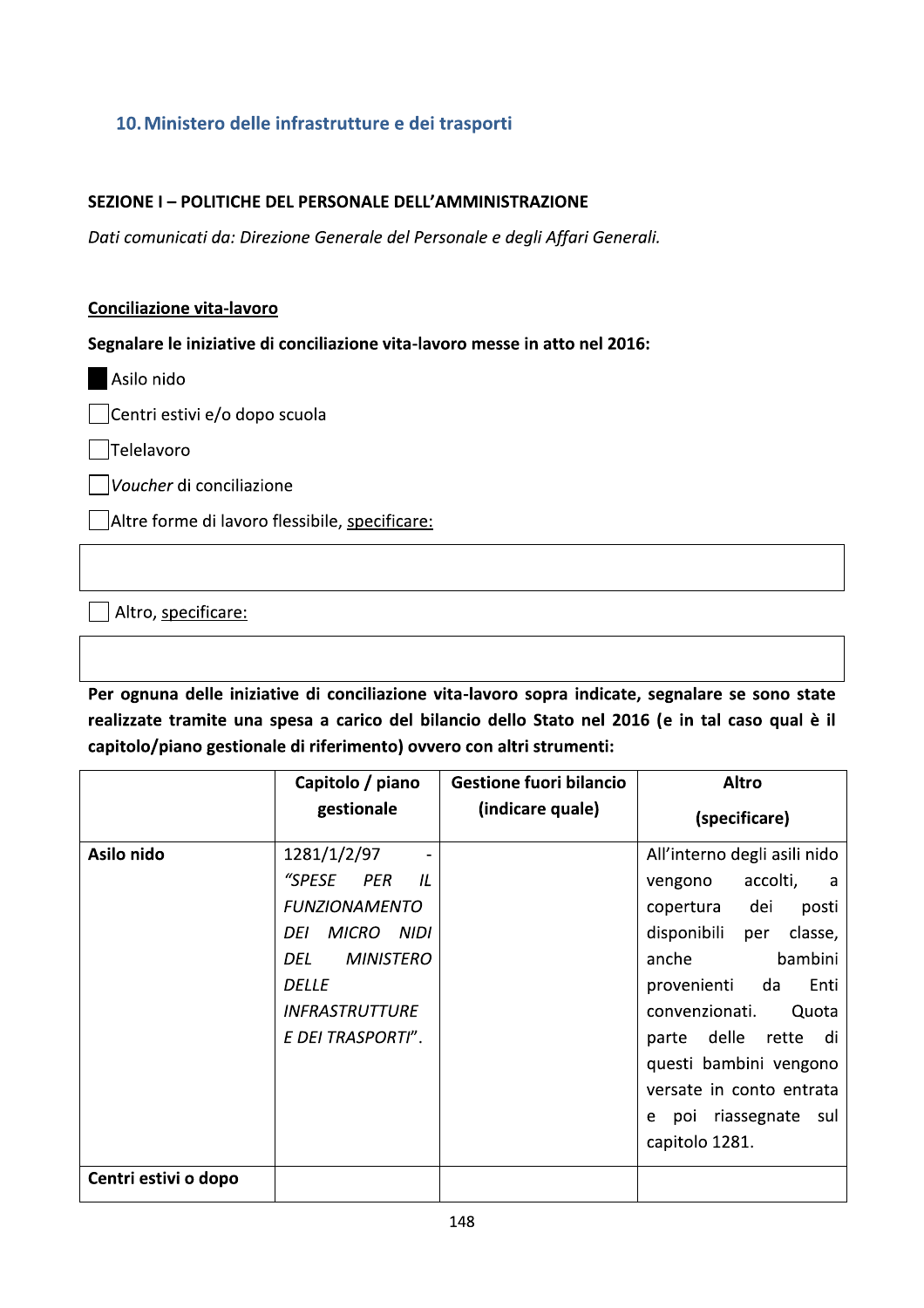# 10. Ministero delle infrastrutture e dei trasporti

! 10. Ministero delle infrastrutture e dei trasporti<br>
SEZIONE I – POLITICHE DEL PERSONALE DELL'AMMINISTRAZIONE<br> *Dati comunicati da: Direzione Generale del Personale e degli Affari Generali.*<br>
Conciliazione vita-lavoro<br>
S

## <u>Conciliazione vita-lavoro</u>

Segnalare le iniziative di conciliazione vita-lavoro messe in atto nel 2016:  $\,$ 

Asilo nido

Centri estivi e/o dopo scuola

 $\Box$ Telelavoro

 $\Box$ Voucher di conciliazione

 $\Box$  Altre forme di lavoro flessibile, specificare:

Altro, specificare:

Per ognuna delle iniziative di conciliazione vita-lavoro sopra indicate, segnalare se sono state realizzate tramite una spesa a carico del bilancio dello Stato nel 2016 (e in tal caso qual e il capitolo/piano gestionale di riferimento) ovvero con altri strumenti:

|                      | Capitolo / piano                                                                                                                                                                                 | <b>Gestione fuori bilancio</b> | <b>Altro</b>                                                                                                                                                                                                                                                                                                                       |  |
|----------------------|--------------------------------------------------------------------------------------------------------------------------------------------------------------------------------------------------|--------------------------------|------------------------------------------------------------------------------------------------------------------------------------------------------------------------------------------------------------------------------------------------------------------------------------------------------------------------------------|--|
|                      | gestionale                                                                                                                                                                                       | (indicare quale)               | (specificare)                                                                                                                                                                                                                                                                                                                      |  |
| Asilo nido           | 1281/1/2/97<br>"SPESE<br><b>PER</b><br>IL<br><b>FUNZIONAMENTO</b><br><b>MICRO</b><br><b>NIDI</b><br>DEI<br><b>MINISTERO</b><br>DEL<br><b>DELLE</b><br><b>INFRASTRUTTURE</b><br>E DEI TRASPORTI". |                                | All'interno degli asili nido<br>accolti,<br>vengono<br>a<br>copertura dei<br>posti<br>disponibili<br>classe,<br>per<br>bambini<br>anche<br>provenienti<br>Enti<br>da<br>convenzionati.<br>Quota<br>parte delle<br>rette<br>di<br>questi bambini vengono<br>versate in conto entrata<br>poi riassegnate sul<br>e.<br>capitolo 1281. |  |
| Centri estivi o dopo |                                                                                                                                                                                                  |                                |                                                                                                                                                                                                                                                                                                                                    |  |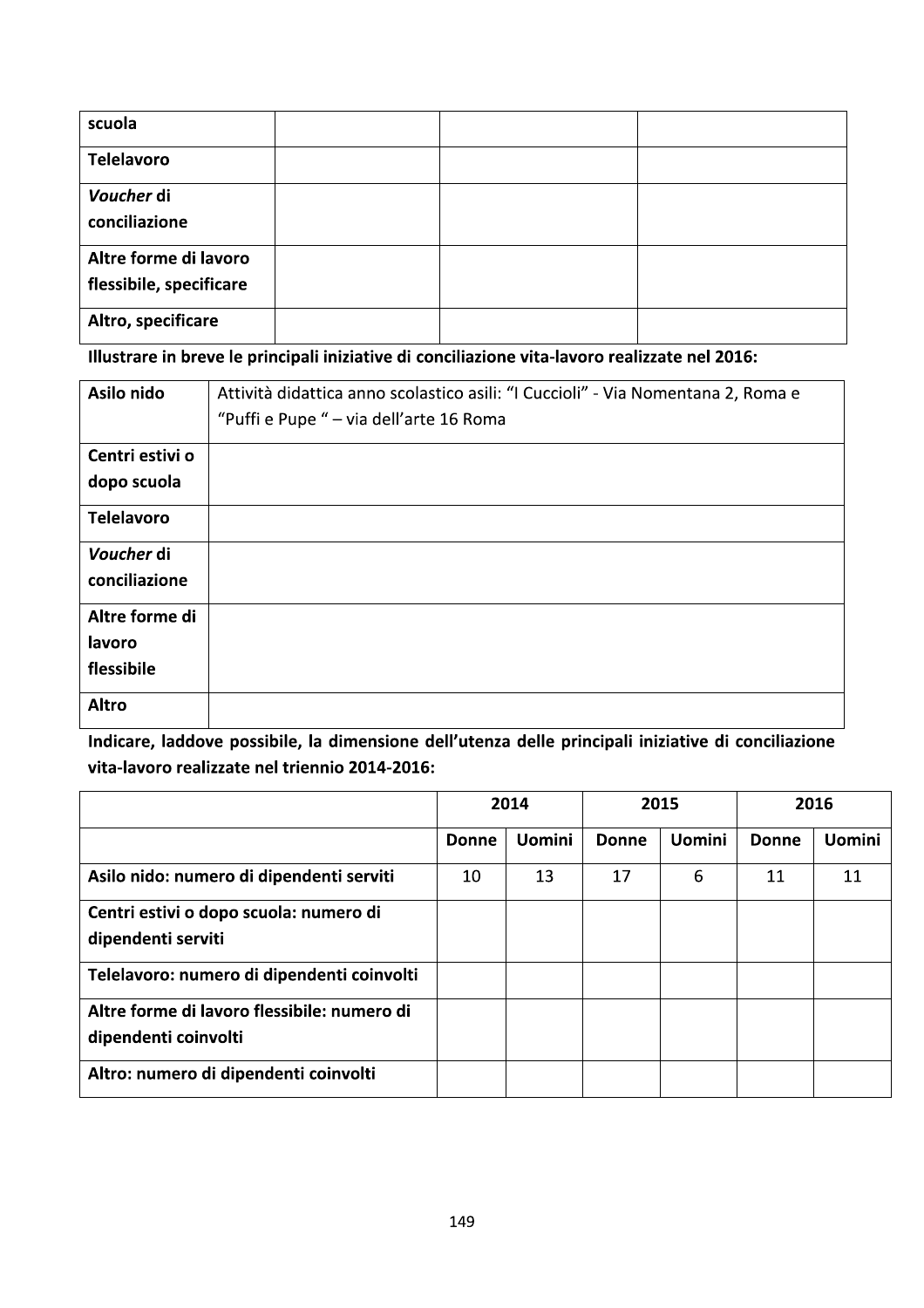| scuola                                           |  |  |
|--------------------------------------------------|--|--|
| <b>Telelavoro</b>                                |  |  |
| Voucher di<br>conciliazione                      |  |  |
| Altre forme di lavoro<br>flessibile, specificare |  |  |
| Altro, specificare                               |  |  |

Illustrare in breve le principali iniziative di conciliazione vita-lavoro realizzate nel 2016:

| Asilo nido        | Attività didattica anno scolastico asili: "I Cuccioli" - Via Nomentana 2, Roma e |
|-------------------|----------------------------------------------------------------------------------|
|                   | "Puffi e Pupe " - via dell'arte 16 Roma                                          |
| Centri estivi o   |                                                                                  |
| dopo scuola       |                                                                                  |
| <b>Telelavoro</b> |                                                                                  |
| Voucher di        |                                                                                  |
| conciliazione     |                                                                                  |
| Altre forme di    |                                                                                  |
| lavoro            |                                                                                  |
| flessibile        |                                                                                  |
| <b>Altro</b>      |                                                                                  |

Indicare, laddove possibile, la dimensione dell'utenza delle principali iniziative di conciliazione vita-lavoro realizzate nel triennio 2014-2016:

|                                                                     | 2014  |               | 2015         |               | 2016         |               |
|---------------------------------------------------------------------|-------|---------------|--------------|---------------|--------------|---------------|
|                                                                     | Donne | <b>Uomini</b> | <b>Donne</b> | <b>Uomini</b> | <b>Donne</b> | <b>Uomini</b> |
| Asilo nido: numero di dipendenti serviti                            | 10    | 13            | 17           | 6             | 11           | 11            |
| Centri estivi o dopo scuola: numero di<br>dipendenti serviti        |       |               |              |               |              |               |
| Telelavoro: numero di dipendenti coinvolti                          |       |               |              |               |              |               |
| Altre forme di lavoro flessibile: numero di<br>dipendenti coinvolti |       |               |              |               |              |               |
| Altro: numero di dipendenti coinvolti                               |       |               |              |               |              |               |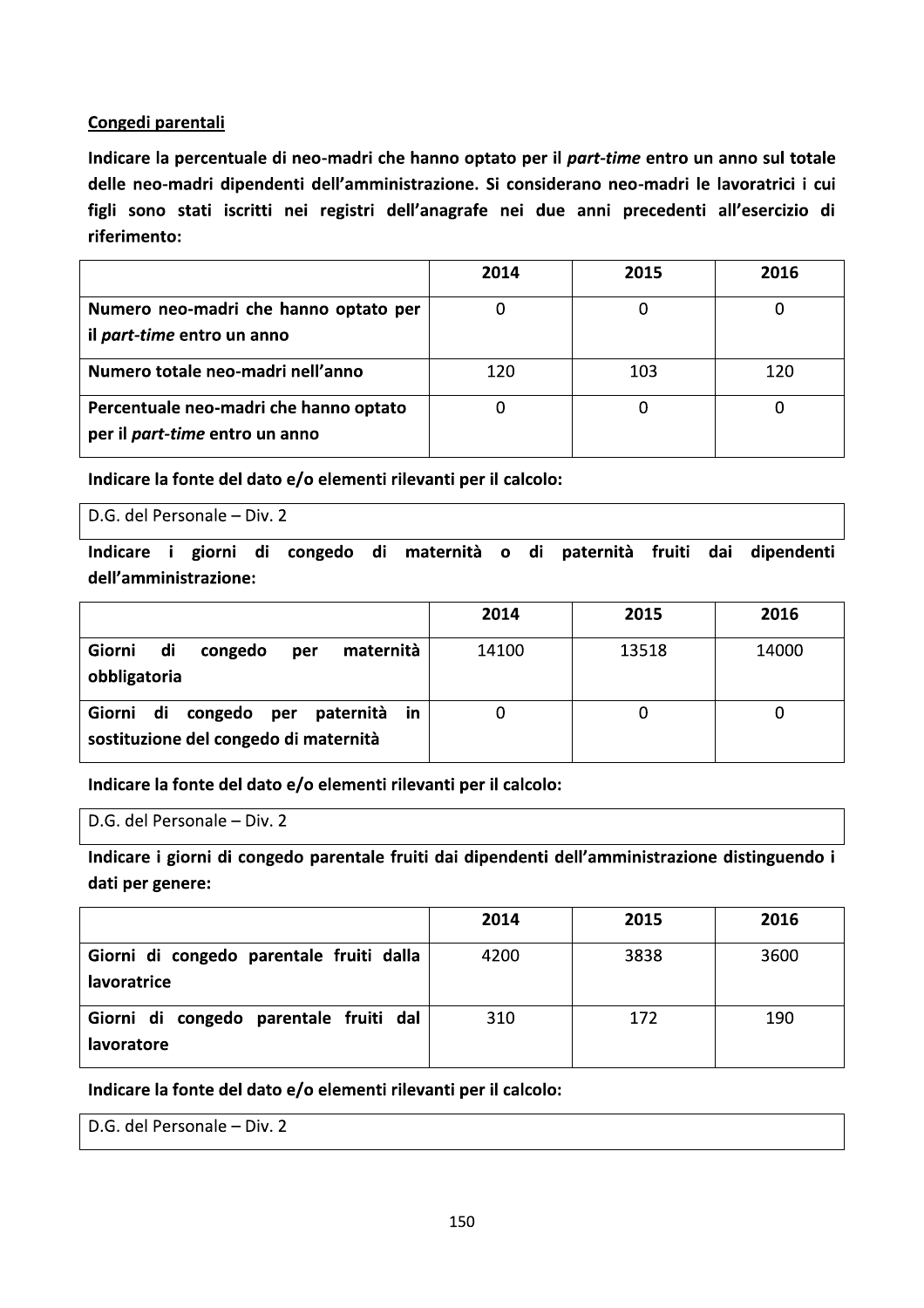#### Congedi parentali

Indicare la percentuale di neo-madri che hanno optato per il part-time entro un anno sul totale delle neo-madri dipendenti dell'amministrazione. Si considerano neo-madri le lavoratrici i cui figli sono stati iscritti nei registri dell'anagrafe nei due anni precedenti all'esercizio di riferimento:

|                                        | 2014 | 2015 | 2016 |
|----------------------------------------|------|------|------|
| Numero neo-madri che hanno optato per  |      |      |      |
| il <i>part-time</i> entro un anno      |      |      |      |
| Numero totale neo-madri nell'anno      | 120  | 103  | 120  |
| Percentuale neo-madri che hanno optato |      |      |      |
| per il <i>part-time</i> entro un anno  |      |      |      |

Indicare la fonte del dato e/o elementi rilevanti per il calcolo:

D.G. del Personale - Div. 2

Indicare i giorni di congedo di maternità o di paternità fruiti dai dipendenti dell'amministrazione:

|                                                                                   | 2014  | 2015  | 2016  |
|-----------------------------------------------------------------------------------|-------|-------|-------|
| di<br>maternità<br>Giorni<br>congedo<br>per<br>obbligatoria                       | 14100 | 13518 | 14000 |
| Giorni di<br>congedo per paternità<br>in<br>sostituzione del congedo di maternità |       |       | U     |

Indicare la fonte del dato e/o elementi rilevanti per il calcolo:

D.G. del Personale - Div. 2

Indicare i giorni di congedo parentale fruiti dai dipendenti dell'amministrazione distinguendo i dati per genere:

|                                                         | 2014 | 2015 | 2016 |
|---------------------------------------------------------|------|------|------|
| Giorni di congedo parentale fruiti dalla<br>lavoratrice | 4200 | 3838 | 3600 |
| Giorni di congedo parentale fruiti dal<br>lavoratore    | 310  | 172  | 190  |

Indicare la fonte del dato e/o elementi rilevanti per il calcolo:

D.G. del Personale - Div. 2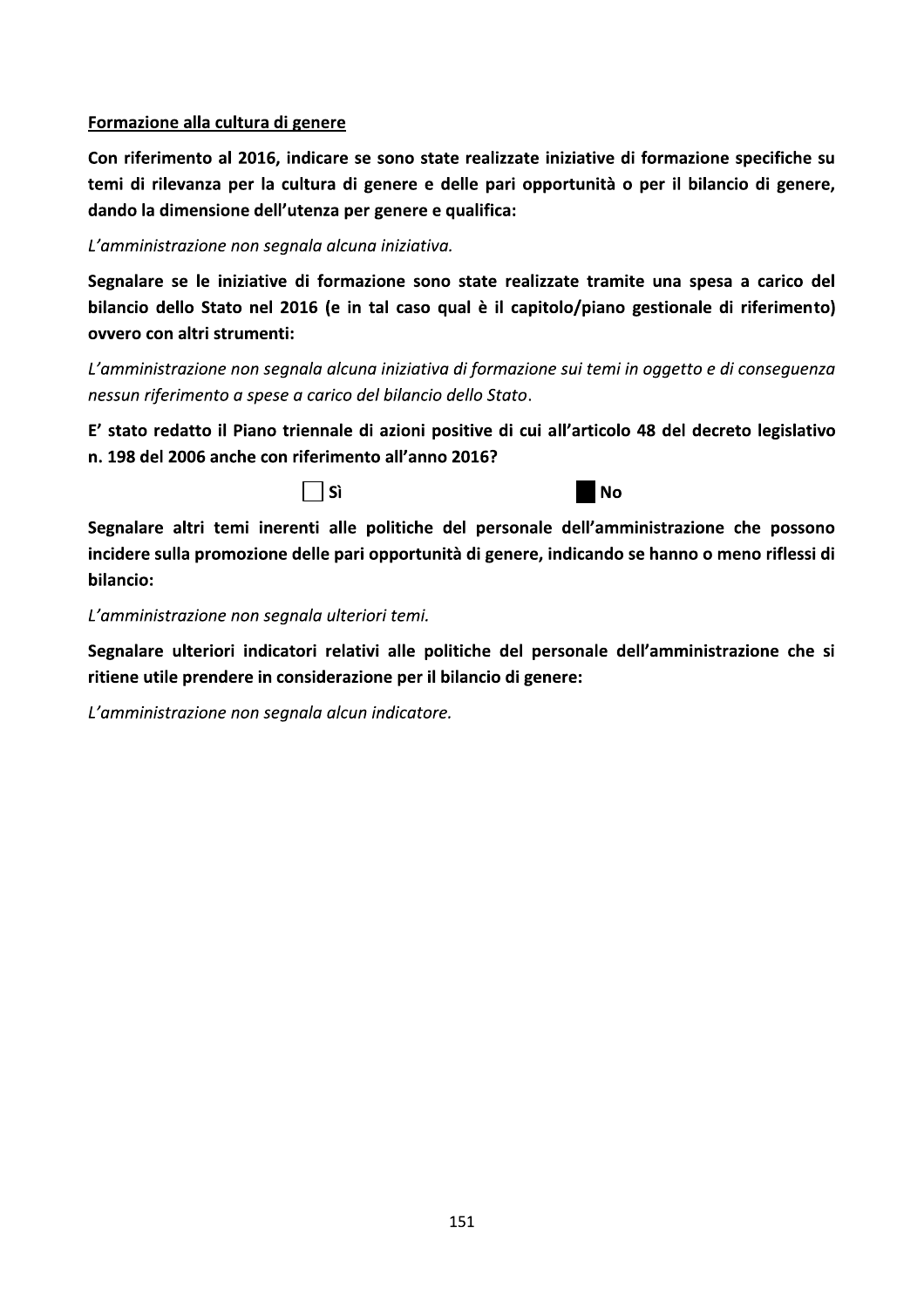#### Formazione alla cultura di genere

Con riferimento al 2016, indicare se sono state realizzate iniziative di formazione specifiche su temi di rilevanza per la cultura di genere e delle pari opportunità o per il bilancio di genere, dando la dimensione dell'utenza per genere e qualifica:

L'amministrazione non segnala alcuna iniziativa.

Segnalare se le iniziative di formazione sono state realizzate tramite una spesa a carico del bilancio dello Stato nel 2016 (e in tal caso qual è il capitolo/piano gestionale di riferimento) ovvero con altri strumenti:

L'amministrazione non segnala alcuna iniziativa di formazione sui temi in oggetto e di conseguenza nessun riferimento a spese a carico del bilancio dello Stato.

E' stato redatto il Piano triennale di azioni positive di cui all'articolo 48 del decreto legislativo n. 198 del 2006 anche con riferimento all'anno 2016?

 $\exists$  Sì



Segnalare altri temi inerenti alle politiche del personale dell'amministrazione che possono incidere sulla promozione delle pari opportunità di genere, indicando se hanno o meno riflessi di bilancio:

L'amministrazione non segnala ulteriori temi.

Segnalare ulteriori indicatori relativi alle politiche del personale dell'amministrazione che si ritiene utile prendere in considerazione per il bilancio di genere:

L'amministrazione non segnala alcun indicatore.